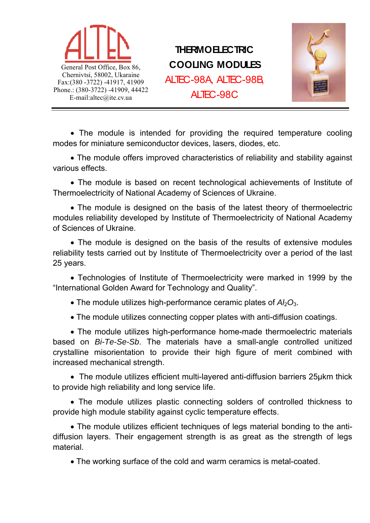

# **THERMOELECTRIC COOLING MODULES** ALTEC-98A, ALTEC-98B, ALTEC-98C



• The module is intended for providing the required temperature cooling modes for miniature semiconductor devices, lasers, diodes, etc.

 The module offers improved characteristics of reliability and stability against various effects.

 The module is based on recent technological achievements of Institute of Thermoelectricity of National Academy of Sciences of Ukraine.

 The module is designed on the basis of the latest theory of thermoelectric modules reliability developed by Institute of Thermoelectricity of National Academy of Sciences of Ukraine.

 The module is designed on the basis of the results of extensive modules reliability tests carried out by Institute of Thermoelectricity over a period of the last 25 years.

 Technologies of Institute of Thermoelectricity were marked in 1999 by the "International Golden Award for Technology and Quality".

• The module utilizes high-performance ceramic plates of  $A/bQ_3$ .

The module utilizes connecting copper plates with anti-diffusion coatings.

 The module utilizes high-performance home-made thermoelectric materials based on *Bi-Te-Se-Sb*. The materials have a small-angle controlled unitized crystalline misorientation to provide their high figure of merit combined with increased mechanical strength.

 The module utilizes efficient multi-layered anti-diffusion barriers 25μkm thick to provide high reliability and long service life.

 The module utilizes plastic connecting solders of controlled thickness to provide high module stability against cyclic temperature effects.

 The module utilizes efficient techniques of legs material bonding to the antidiffusion layers. Their engagement strength is as great as the strength of legs material.

The working surface of the cold and warm ceramics is metal-coated.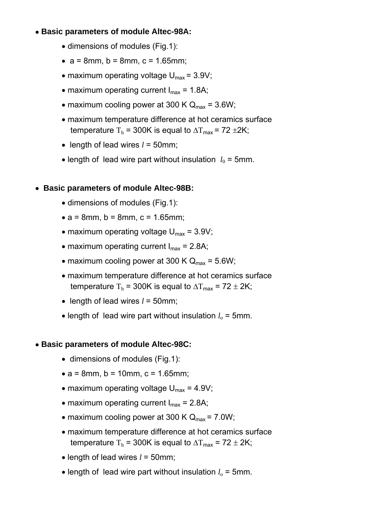## **Basic parameters of module Altec-98A:**

- dimensions of modules (Fig.1):
- $a = 8$ mm,  $b = 8$ mm,  $c = 1.65$ mm;
- maximum operating voltage  $U_{\text{max}} = 3.9V$ ;
- maximum operating current  $I_{max} = 1.8A$ ;
- maximum cooling power at 300 K  $Q_{\text{max}} = 3.6W$ ;
- maximum temperature difference at hot ceramics surface temperature T<sub>h</sub> = 300K is equal to  $\Delta T_{\text{max}}$  = 72 ±2K;
- $\bullet$  length of lead wires  $l = 50$ mm;
- length of lead wire part without insulation  $l_0$  = 5mm.

## **Basic parameters of module Altec-98B:**

- dimensions of modules (Fig.1):
- $a = 8$ mm,  $b = 8$ mm,  $c = 1.65$ mm;
- maximum operating voltage  $U_{\text{max}} = 3.9V$ ;
- maximum operating current  $I_{max} = 2.8A$ ;
- maximum cooling power at 300 K  $Q_{\text{max}} = 5.6W$ ;
- maximum temperature difference at hot ceramics surface temperature T<sub>h</sub> = 300K is equal to  $\Delta T_{\text{max}}$  = 72  $\pm$  2K;
- length of lead wires  $l = 50$ mm;
- $\bullet$  length of lead wire part without insulation  $l_0$  = 5mm.

#### **Basic parameters of module Altec-98C:**

- dimensions of modules (Fig.1):
- $a = 8$ mm,  $b = 10$ mm,  $c = 1.65$ mm;
- maximum operating voltage  $U_{\text{max}} = 4.9V$ ;
- maximum operating current  $I_{max} = 2.8A$ ;
- maximum cooling power at 300 K  $Q_{\text{max}} = 7.0W$ ;
- maximum temperature difference at hot ceramics surface temperature T<sub>h</sub> = 300K is equal to  $\Delta T_{\text{max}}$  = 72  $\pm$  2K;
- $\bullet$  length of lead wires  $l = 50$ mm;
- $\bullet$  length of lead wire part without insulation  $l_0 = 5$ mm.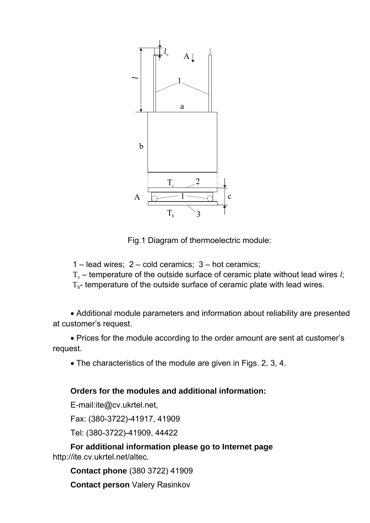

Fig.1 Diagram of thermoelectric module:

 $1 -$  lead wires;  $2 -$  cold ceramics;  $3 -$  hot ceramics;

 $T_c$  – temperature of the outside surface of ceramic plate without lead wires *l*;

 $T<sub>h</sub>$ - temperature of the outside surface of ceramic plate with lead wires.

 Additional module parameters and information about reliability are presented at customer's request.

 Prices for the module according to the order amount are sent at customer's request.

The characteristics of the module are given in Figs. 2, 3, 4.

## **Orders for the modules and additional information:**

E-mail:ite@cv.ukrtel.net,

Fax: (380-3722)-41917, 41909

Tel: (380-3722)-41909, 44422

**For additional information please go to Internet page** http://ite.cv.ukrtel.net/altec.

**Contact phone** (380 3722) 41909

**Contact person** Valery Rasinkov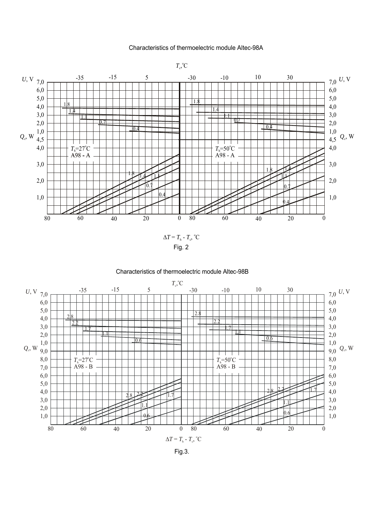#### Characteristics of thermoelectric module Altec-98A



#### Characteristics of thermoelectric module Altec-98B



Fig.3.